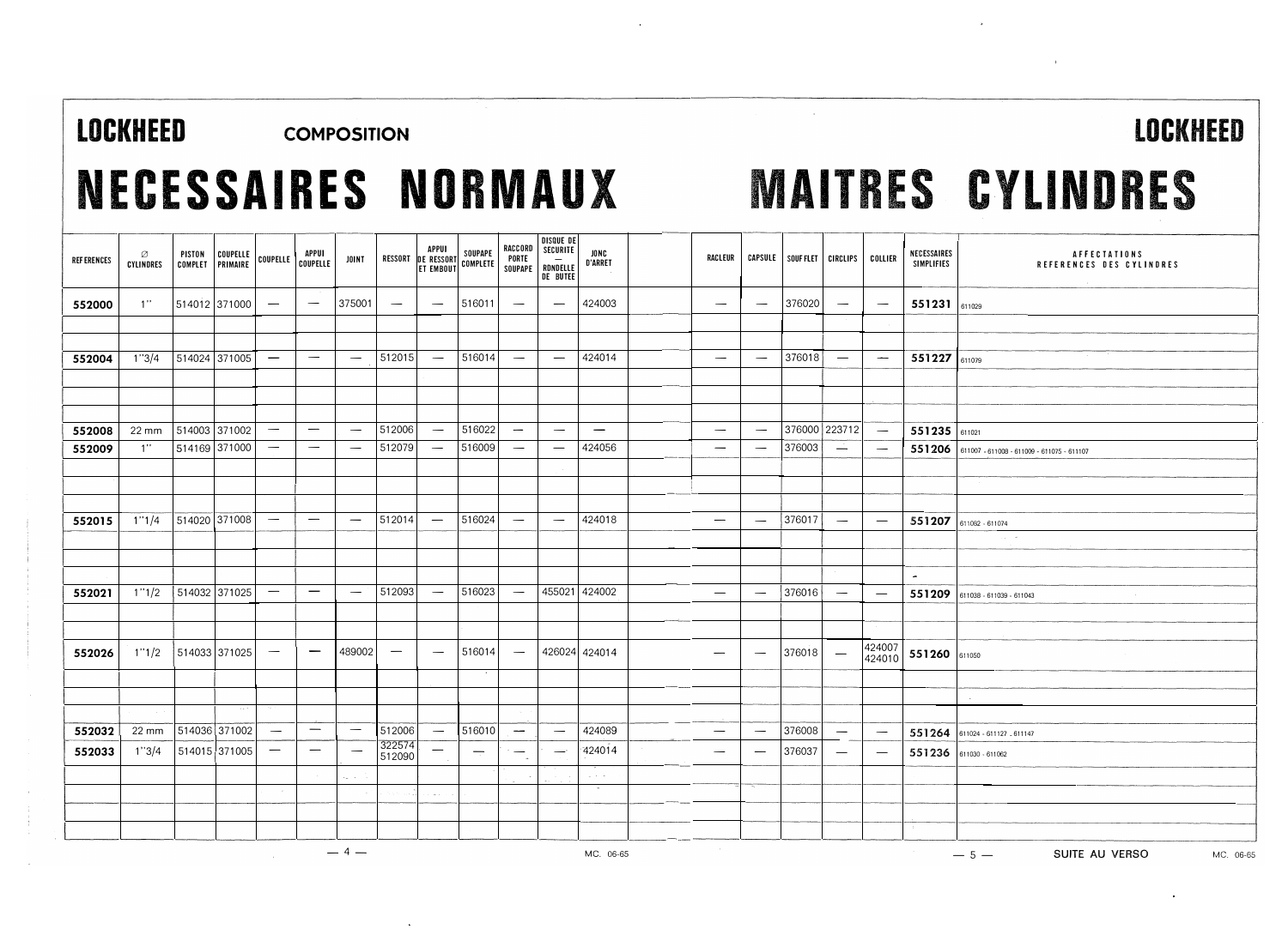### LOCKHEED COMPOSITION LOCKHEED

## NECESSAIRES NDRMAUX MAITRES CYLINDRES

| <b>REF ERENCES</b> | Ø<br><b>CYLINDRES</b> | PISTON<br>COMPLET | COUPELLE<br>PRIMAIRE |                                  | APPUI<br>COUPELLE COUPELLE      | <b>JOINT</b>                    |                                 | APPUI<br>RESSORT DE RESSORT SOUPAPE<br>ET EMBOUT COMPLETE |                          | RACCORD<br>PORTE                | DISQUE DE<br>SECURITE<br>SOUPAPE   RDNDELLE<br>DE BUTEE | <b>JONC</b><br><b>D'ARRET</b>          | RACLEUR                          |                                 | CAPSULE   SOUFFLET   CIRCLIPS   COLLIER |                                 |                                 | NECESSAIRES<br>SIMPLIFIES | AFFECTATIONS<br>REFERENCES DES CYLINDRES          |
|--------------------|-----------------------|-------------------|----------------------|----------------------------------|---------------------------------|---------------------------------|---------------------------------|-----------------------------------------------------------|--------------------------|---------------------------------|---------------------------------------------------------|----------------------------------------|----------------------------------|---------------------------------|-----------------------------------------|---------------------------------|---------------------------------|---------------------------|---------------------------------------------------|
| 552000             | 1"                    | 514012 371000     |                      | $\overline{\phantom{a}}$         | $\hspace{0.1mm}-\hspace{0.1mm}$ | 375001                          | $\hspace{0.1mm}-\hspace{0.1mm}$ | $\hspace{0.1mm}-\hspace{0.1mm}$                           | 516011                   | $\hspace{0.1mm}-\hspace{0.1mm}$ | $\overline{\phantom{m}}$                                | 424003                                 | $\hspace{0.05cm}$                | $\hspace{0.1mm}-\hspace{0.1mm}$ | 376020                                  | $\hspace{0.1mm}-\hspace{0.1mm}$ | $\overbrace{\phantom{1232211}}$ | 551231 611029             |                                                   |
|                    |                       |                   |                      |                                  |                                 |                                 |                                 |                                                           |                          |                                 |                                                         |                                        |                                  |                                 |                                         |                                 |                                 |                           |                                                   |
|                    |                       |                   |                      |                                  |                                 |                                 |                                 |                                                           |                          |                                 |                                                         |                                        |                                  |                                 |                                         |                                 |                                 |                           |                                                   |
| 552004             | 1''3/4                | 514024 371005     |                      | $\overline{\phantom{m}}$         | $\hspace{0.1mm}-\hspace{0.1mm}$ | $\hspace{0.1mm}-\hspace{0.1mm}$ | 512015                          | $\overline{\phantom{m}}$                                  | 516014                   | $\hspace{0.1mm}-\hspace{0.1mm}$ | $\overline{\phantom{m}}$                                | 424014                                 | $\overline{\phantom{m}}$         | $\overline{\phantom{0}}$        | 376018                                  | $\overline{\phantom{m}}$        | $\overline{\phantom{m}}$        | 551227 611079             |                                                   |
|                    |                       |                   |                      |                                  |                                 |                                 |                                 |                                                           |                          |                                 |                                                         |                                        |                                  |                                 |                                         |                                 |                                 |                           |                                                   |
|                    |                       |                   |                      |                                  |                                 |                                 |                                 |                                                           |                          |                                 |                                                         |                                        |                                  |                                 |                                         |                                 |                                 |                           |                                                   |
|                    |                       |                   |                      |                                  |                                 |                                 |                                 |                                                           |                          |                                 |                                                         |                                        |                                  |                                 |                                         |                                 |                                 |                           |                                                   |
| 552008             | 22 mm                 |                   | 514003 371002        | $\overline{\phantom{m}}$         | $\overline{\phantom{m}}$        | $\overline{\phantom{m}}$        | 512006                          | $\overline{\phantom{m}}$                                  | 516022                   | $\overline{\phantom{m}}$        | $\hspace{0.1mm}-\hspace{0.1mm}$                         | $\overline{\phantom{0}}$               | $\overline{\phantom{m}}$         | $\overline{\phantom{a}}$        | 376000 223712                           |                                 | $\overline{\phantom{m}}$        | 551235 $\frac{1}{611021}$ |                                                   |
| 552009             | 1"                    | 514169 371000     |                      | $\overline{\phantom{m}}$         |                                 | $\overline{\phantom{m}}$        | 512079                          | $\overline{\phantom{m}}$                                  | 516009                   | $\hspace{0.1mm}-\hspace{0.1mm}$ | $\hspace{0.1mm}-\hspace{0.1mm}$                         | 424056                                 | $\qquad \qquad -$                |                                 | 376003                                  | $\overline{\phantom{m}}$        | $\overline{\phantom{m}}$        |                           | 551206 611007 - 611008 - 611009 - 611075 - 611107 |
|                    |                       |                   |                      |                                  |                                 |                                 |                                 |                                                           |                          |                                 |                                                         |                                        |                                  |                                 |                                         |                                 |                                 |                           |                                                   |
|                    |                       |                   |                      |                                  |                                 |                                 |                                 |                                                           |                          |                                 |                                                         |                                        |                                  |                                 |                                         |                                 |                                 |                           |                                                   |
|                    |                       |                   |                      |                                  |                                 |                                 |                                 |                                                           |                          |                                 |                                                         |                                        |                                  |                                 |                                         |                                 |                                 |                           |                                                   |
| 552015             | 1''1/4                | 514020 371008     |                      | $\hspace{0.1mm}-\hspace{0.1mm}$  | $\overline{\phantom{m}}$        | $\hspace{0.05cm}$               | 512014                          | $\overline{\phantom{m}}$                                  | 516024                   | $\hspace{0.1mm}-\hspace{0.1mm}$ | $\overline{\phantom{m}}$                                | 424018                                 | $\overline{\phantom{m}}$         | $\overline{\phantom{a}}$        | 376017                                  | $\overline{\phantom{a}}$        | $\overline{\phantom{m}}$        |                           | 551207 611082 - 611074                            |
|                    |                       |                   |                      |                                  |                                 |                                 |                                 |                                                           |                          |                                 |                                                         |                                        |                                  |                                 |                                         |                                 |                                 |                           | $\tau_{\rm eff} = 0.1$                            |
|                    |                       |                   |                      |                                  |                                 |                                 |                                 |                                                           |                          |                                 |                                                         |                                        |                                  |                                 |                                         |                                 |                                 |                           |                                                   |
|                    |                       |                   |                      |                                  |                                 |                                 |                                 |                                                           |                          |                                 |                                                         |                                        |                                  |                                 |                                         |                                 |                                 | $\tilde{\phantom{a}}$     |                                                   |
| 552021             | 1''1/2                | 514032 371025     |                      | $\overbrace{\phantom{12322111}}$ | $\overline{\phantom{m}}$        | $\hspace{0.1mm}-\hspace{0.1mm}$ | 512093                          | $\overline{\phantom{0}}$                                  | 516023                   | $\overline{\phantom{0}}$        |                                                         | 455021 424002                          | $\hspace{0.1mm}-\hspace{0.1mm}$  | $\overline{\phantom{a}}$        | 376016                                  | $\overline{\phantom{m}}$        | $\overline{\phantom{m}}$        |                           | $551209$ 611038 - 611039 - 611043                 |
|                    |                       |                   |                      |                                  |                                 |                                 |                                 |                                                           |                          |                                 |                                                         |                                        |                                  |                                 |                                         |                                 |                                 |                           |                                                   |
|                    |                       |                   |                      |                                  |                                 |                                 |                                 |                                                           |                          |                                 |                                                         |                                        |                                  |                                 |                                         |                                 |                                 |                           |                                                   |
| 552026             | 1''1/2                |                   | 514033 371025        | $\overline{\phantom{m}}$         | $\qquad \qquad \longleftarrow$  | 489002                          | $\overline{\phantom{m}}$        | $\overline{\phantom{m}}$                                  | 516014                   | $\overline{\phantom{m}}$        |                                                         | 426024 424014                          | $\overline{\phantom{m}}$         | $\overline{\phantom{a}}$        | 376018                                  | $\overline{\phantom{a}}$        | 424007<br>424010                | 551260 611050             |                                                   |
|                    |                       |                   |                      |                                  |                                 |                                 |                                 |                                                           |                          |                                 |                                                         |                                        |                                  |                                 |                                         |                                 |                                 |                           |                                                   |
|                    |                       |                   |                      |                                  |                                 |                                 |                                 |                                                           |                          |                                 |                                                         |                                        |                                  |                                 |                                         |                                 |                                 |                           |                                                   |
|                    | $\alpha$ , $\beta$    |                   | $\sim 10^{-10}$      |                                  |                                 |                                 |                                 |                                                           |                          |                                 |                                                         |                                        |                                  |                                 |                                         |                                 |                                 |                           |                                                   |
| 552032             | $22 \, \text{mm}$     | 514036 371002     |                      | $\hspace{0.05cm}$                |                                 | $\hspace{0.1mm}-\hspace{0.1mm}$ | 512006                          | $\qquad \qquad -$                                         | 516010                   | $\sim$                          | $\overline{\phantom{m}}$                                | 424089                                 | $\qquad \qquad -$                | $\overline{\phantom{a}}$        | 376008                                  | $\hspace{0.1mm}-\hspace{0.1mm}$ | $\hspace{0.1mm}-\hspace{0.1mm}$ |                           | 551264 611024 - 611127 - 611147                   |
| 552033             | 1''3/4                |                   | 514015 371005        | $\overline{\phantom{m}}$         | $\overline{\phantom{m}}$        |                                 | 322574<br>512090                | —                                                         | $\overline{\phantom{m}}$ | $\overline{\phantom{m}}$        | $\overline{\phantom{0}}$                                | 424014                                 | $\overbrace{\phantom{12322111}}$ | $\overline{\phantom{a}}$        | 376037                                  | $\hspace{0.1mm}-\hspace{0.1mm}$ | $\overline{\phantom{m}}$        |                           | 551236 611030 - 611062                            |
|                    |                       |                   |                      |                                  |                                 |                                 |                                 |                                                           |                          |                                 |                                                         | $\omega \rightarrow -\infty$<br>$\sim$ |                                  |                                 |                                         |                                 |                                 |                           |                                                   |
|                    |                       |                   |                      |                                  |                                 |                                 |                                 | $\sim$                                                    |                          |                                 |                                                         |                                        |                                  |                                 |                                         |                                 |                                 |                           |                                                   |
|                    |                       |                   |                      |                                  |                                 |                                 |                                 |                                                           |                          |                                 |                                                         |                                        |                                  |                                 |                                         |                                 |                                 |                           |                                                   |
|                    |                       |                   |                      |                                  |                                 |                                 |                                 |                                                           |                          |                                 |                                                         |                                        |                                  |                                 |                                         |                                 |                                 |                           |                                                   |

-4- MC. 06-65 - 5- SUITE AU VERSO MC. 06-65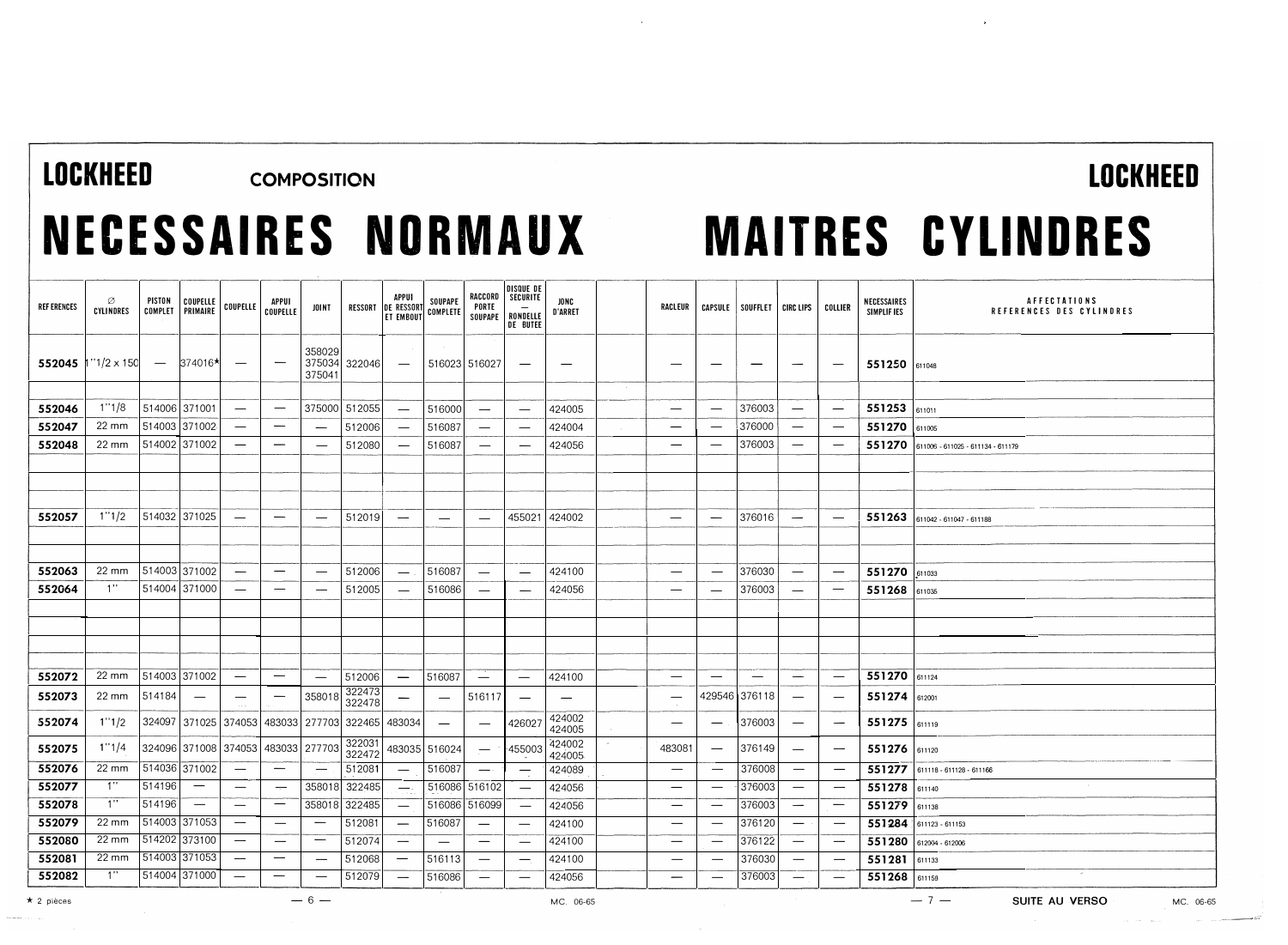### LOCKHEED COMPOSITION

## NECESSAIRES NDRMAUX

# MAITRES CYLINDRES

 $\mathbf{r}$ 

| <b>REF ERENCES</b> | Ø<br><b>CYLINDRES</b> | PISTON<br>COMPLET               | COUPELLE<br>PRIMAIRE     | COUPELLE                        | <b>APPUI</b><br><b>COUPELLE</b> | JOINT                                     | RESSORT          | APPUI<br><b>DE RESSOR</b><br><b>ET EMBOUT</b> | SOUPAPE<br>COMPLETE             | RACCORD<br>PORTE<br>SOUPAPE     | DISQUE DE<br>SECURITE<br>RONDELLE<br>DE BUTEE | <b>JONC</b><br><b>D'ARRET</b> | <b>RACLEUR</b>           |                                 | CAPSULE SOUFFLET   CIRC LIPS    |                                 | COLLIER                         | NECESSAIRES<br>SIMPLIF IES | <b>AFFECTATIONS</b><br>REFERENCES DES CYLINDRES |
|--------------------|-----------------------|---------------------------------|--------------------------|---------------------------------|---------------------------------|-------------------------------------------|------------------|-----------------------------------------------|---------------------------------|---------------------------------|-----------------------------------------------|-------------------------------|--------------------------|---------------------------------|---------------------------------|---------------------------------|---------------------------------|----------------------------|-------------------------------------------------|
| 552045             | $"1/2 \times 150$     | $\hspace{0.1mm}-\hspace{0.1mm}$ | 374016*                  | $\overline{\phantom{m}}$        |                                 | 358029<br>375041                          | 375034 322046    | $\overline{\phantom{a}}$                      | 516023 516027                   |                                 | $\hspace{0.05cm}$                             |                               | –                        |                                 |                                 |                                 | $\overline{\phantom{m}}$        | 551250 611048              |                                                 |
|                    |                       |                                 |                          |                                 |                                 |                                           |                  |                                               |                                 |                                 |                                               |                               |                          |                                 |                                 |                                 |                                 |                            |                                                 |
| 552046             | 1''1/8                | 514006 371001                   |                          |                                 | $\qquad \qquad$                 |                                           | 375000 512055    |                                               | 516000                          | $\overline{\phantom{0}}$        | $\qquad \qquad -$                             | 424005                        | —                        | $\overbrace{\phantom{1232211}}$ | 376003                          | $\overline{\phantom{m}}$        | $\hspace{0.05cm}$               | 551253                     | 611011                                          |
| 552047             | $22 \, \text{mm}$     | 514003 371002                   |                          |                                 | —                               | $\overline{\phantom{a}}$                  | 512006           | $\overline{\phantom{0}}$                      | 516087                          | -                               | $\overline{\phantom{m}}$                      | 424004                        |                          |                                 | 376000                          |                                 | $\overbrace{\phantom{1232211}}$ | 551270                     | 611005                                          |
| 552048             | 22 mm                 | 514002 371002                   |                          |                                 | —                               |                                           | 512080           |                                               | 516087                          |                                 |                                               | 424056                        |                          | $\overline{\phantom{0}}$        | 376003                          | $\overline{\phantom{a}}$        | —                               | 551270                     | 611006 - 611025 - 611134 - 611179               |
|                    |                       |                                 |                          |                                 |                                 |                                           |                  |                                               |                                 |                                 |                                               |                               |                          |                                 |                                 |                                 |                                 |                            |                                                 |
|                    |                       |                                 |                          |                                 |                                 |                                           |                  |                                               |                                 |                                 |                                               |                               |                          |                                 |                                 |                                 |                                 |                            |                                                 |
|                    |                       |                                 |                          |                                 |                                 |                                           |                  |                                               |                                 |                                 |                                               |                               |                          |                                 |                                 |                                 |                                 |                            |                                                 |
| 552057             | 1''1/2                | 514032 371025                   |                          | $\overline{\phantom{0}}$        |                                 | $\overline{\phantom{0}}$                  | 512019           |                                               | $\overline{\phantom{m}}$        |                                 | 455021                                        | 424002                        |                          |                                 | 376016                          | $\overline{\phantom{a}}$        | $\hspace{0.1mm}-\hspace{0.1mm}$ |                            | 551263 611042 - 611047 - 611188                 |
|                    |                       |                                 |                          |                                 |                                 |                                           |                  |                                               |                                 |                                 |                                               |                               |                          |                                 |                                 |                                 |                                 |                            |                                                 |
|                    |                       |                                 |                          |                                 |                                 |                                           |                  |                                               |                                 |                                 |                                               |                               |                          |                                 |                                 |                                 |                                 |                            |                                                 |
| 552063             | $22 \, \text{mm}$     | 514003 371002                   |                          | $\overline{\phantom{0}}$        | —                               | $\overline{\phantom{0}}$                  | 512006           | $\overline{\phantom{m}}$                      | 516087                          | $\overline{\phantom{m}}$        | $\qquad \qquad -$                             | 424100                        | $\overline{\phantom{0}}$ | $\overline{\phantom{0}}$        | 376030                          | $\overline{\phantom{a}}$        | $\overbrace{\phantom{1232211}}$ | 551270 611033              |                                                 |
| 552064             | 1"                    | 514004 371000                   |                          | $\overline{\phantom{0}}$        | $\hspace{0.05cm}$               | $\overline{\phantom{0}}$                  | 512005           |                                               | 516086                          |                                 | —                                             | 424056                        |                          |                                 | 376003                          | $\overline{\phantom{m}}$        |                                 | 551268 611035              |                                                 |
|                    |                       |                                 |                          |                                 |                                 |                                           |                  |                                               |                                 |                                 |                                               |                               |                          |                                 |                                 |                                 |                                 |                            |                                                 |
|                    |                       |                                 |                          |                                 |                                 |                                           |                  |                                               |                                 |                                 |                                               |                               |                          |                                 |                                 |                                 |                                 |                            |                                                 |
|                    |                       |                                 |                          |                                 |                                 |                                           |                  |                                               |                                 |                                 |                                               |                               |                          |                                 |                                 |                                 |                                 |                            |                                                 |
|                    |                       |                                 |                          |                                 |                                 |                                           |                  |                                               |                                 |                                 |                                               |                               |                          |                                 |                                 |                                 |                                 |                            |                                                 |
| 552072             | $22 \, \text{mm}$     | 514003 371002                   |                          | $\overbrace{\phantom{1232211}}$ | $\qquad \qquad \longleftarrow$  |                                           | 512006           | $\overline{\phantom{0}}$                      | 516087                          | $\overbrace{\phantom{1232211}}$ | $\overbrace{\phantom{1232211}}$               | 424100                        | $\overline{\phantom{m}}$ |                                 | $\overbrace{\phantom{1232211}}$ | $\overline{\phantom{a}}$        | $\overbrace{\phantom{1232211}}$ | 551270 611124              |                                                 |
| 552073             | 22 mm                 | 514184                          | $\hspace{0.05cm}$        |                                 | $\qquad \qquad \longleftarrow$  | 358018                                    | 322473<br>322478 |                                               | $\overline{\phantom{m}}$        | 516117                          |                                               |                               |                          |                                 | 429546 376118                   | $\hspace{0.1mm}-\hspace{0.1mm}$ | $\hspace{0.1mm}-\hspace{0.1mm}$ | 551274 612001              |                                                 |
| 552074             | 1''1/2                |                                 |                          |                                 |                                 | 324097 371025 374053 483033 277703 322465 |                  | 483034                                        | $\hspace{0.1mm}-\hspace{0.1mm}$ | $\overline{\phantom{0}}$        | 426027                                        | 424002<br>424005              | $\hspace{0.05cm}$        | $\overbrace{\phantom{1232211}}$ | 376003                          | $\overline{\phantom{a}}$        |                                 | 551275 61119               |                                                 |
| 552075             | 1''1/4                |                                 |                          |                                 |                                 | 324096 371008 374053 483033 277703        | 322031<br>322472 |                                               | 483035 516024                   | $\overline{\phantom{m}}$        | ·455003                                       | 424002<br>424005              | 483081                   | $\overline{\phantom{0}}$        | 376149                          | $\overline{\phantom{m}}$        | $\hspace{0.05cm}$               | 551276 611120              |                                                 |
| 552076             | $22 \, \text{mm}$     | 514036 371002                   |                          | $\overline{\phantom{0}}$        |                                 | $\overline{\phantom{0}}$                  | 512081           | $\overline{\phantom{0}}$                      | 516087                          | $\overline{\phantom{m}}$        |                                               | 424089                        | —                        | $\overline{\phantom{0}}$        | 376008                          | $\hspace{0.1mm}-\hspace{0.1mm}$ |                                 |                            | 551277 611118 - 611128 - 611166                 |
| 552077             | 1"                    | 514196                          | $\hspace{0.05cm}$        |                                 | $\overline{\phantom{m}}$        | 358018                                    | 322485           |                                               | 516086 516102                   |                                 | $\overbrace{\phantom{1232211}}$               | 424056                        |                          | $\overline{\phantom{a}}$        | 376003                          | $\overline{\phantom{m}}$        | $\hspace{0.05cm}$               | 551278 611140              |                                                 |
| 552078             | 1"                    | 514196                          | $\overline{\phantom{m}}$ |                                 | -                               |                                           | 358018 322485    | $\overline{\phantom{0}}$                      | 516086 516099                   |                                 | $\overbrace{\phantom{1232211}}$               | 424056                        | $\hspace{0.05cm}$        | $\overline{\phantom{a}}$        | 376003                          | $\hspace{0.1mm}-\hspace{0.1mm}$ |                                 | 551279 611138              |                                                 |
| 552079             | $22 \, \text{mm}$     | 514003 371053                   |                          |                                 | $\overline{\phantom{m}}$        | $\overline{\phantom{m}}$                  | 512081           | $\overline{\phantom{0}}$                      | 516087                          | $\qquad \qquad \longleftarrow$  | $\hspace{0.1mm}-\hspace{0.1mm}$               | 424100                        |                          | $\overline{\phantom{a}}$        | 376120                          | $\hspace{0.1mm}-\hspace{0.1mm}$ | $\hspace{0.05cm}$               |                            | 551284 611123 - 611153                          |
| 552080             | $22 \, \text{mm}$     | 514202 373100                   |                          | $\overline{\phantom{m}}$        |                                 | $\overbrace{\phantom{12322111}}$          | 512074           |                                               |                                 |                                 |                                               | 424100                        |                          |                                 | 376122                          | $\overline{\phantom{a}}$        |                                 |                            | 551280 612004 - 612006                          |
| 552081             | $22 \text{ mm}$       | 514003 371053                   |                          | -                               | —                               | $\overline{\phantom{0}}$                  | 512068           | $\overline{\phantom{a}}$                      | 516113                          |                                 |                                               | 424100                        | —                        |                                 | 376030                          | $\overline{\phantom{m}}$        |                                 | 551281 611133              |                                                 |
| 552082             | 1"                    | 514004 371000                   |                          |                                 | —                               |                                           | 512079           | $\overline{\phantom{a}}$                      | 516086                          |                                 |                                               | 424056                        |                          |                                 | 376003                          |                                 | $\overline{\phantom{0}}$        | 551268 611158              |                                                 |

 $\bar{z}$ 

 $\star$  2 pièces MC. 06-65

--·-----.--.-

LOCKHEED